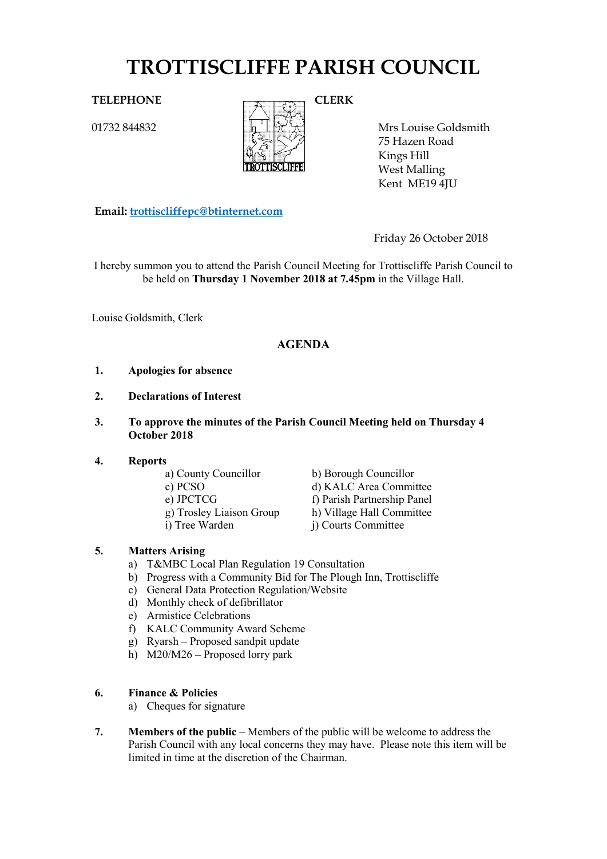# **TROTTISCLIFFE PARISH COUNCIL**

01732 844832



Mrs Louise Goldsmith 75 Hazen Road Kings Hill West Malling Kent ME19 4JU

**Email: [trottiscliffepc@btinternet.com](mailto:trottiscliffepc@btinternet.com)**

Friday 26 October 2018

I hereby summon you to attend the Parish Council Meeting for Trottiscliffe Parish Council to be held on **Thursday 1 November 2018 at 7.45pm** in the Village Hall.

Louise Goldsmith, Clerk

# **AGENDA**

- **1. Apologies for absence**
- **2. Declarations of Interest**
- **3. To approve the minutes of the Parish Council Meeting held on Thursday 4 October 2018**

# **4. Reports**

- a) County Councillor b) Borough Councillor
- 

c) PCSO d) KALC Area Committee e) JPCTCG<br>
g) Trosley Liaison Group<br>
h) Village Hall Committee g) Trosley Liaison Group h) Village Hall Committee<br>i) Tree Warden i) Courts Committee j) Courts Committee

# **5. Matters Arising**

- a) T&MBC Local Plan Regulation 19 Consultation
- b) Progress with a Community Bid for The Plough Inn, Trottiscliffe
- c) General Data Protection Regulation/Website
- d) Monthly check of defibrillator
- e) Armistice Celebrations
- f) KALC Community Award Scheme
- g) Ryarsh Proposed sandpit update
- h)  $M20/M26 -$  Proposed lorry park

# **6. Finance & Policies**

- a) Cheques for signature
- **7. Members of the public** Members of the public will be welcome to address the Parish Council with any local concerns they may have. Please note this item will be limited in time at the discretion of the Chairman.